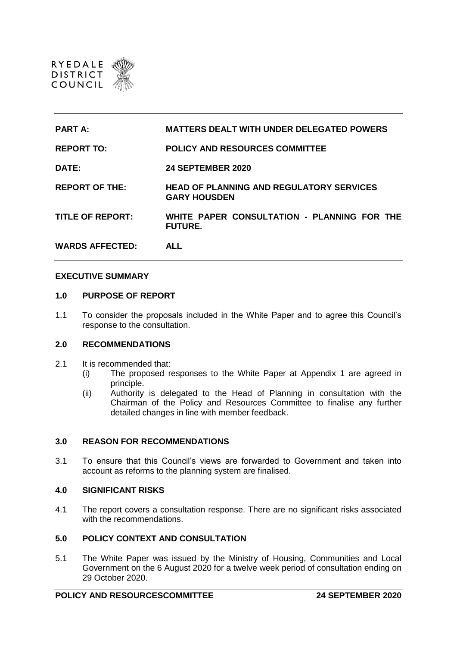

| <b>PART A:</b>          | <b>MATTERS DEALT WITH UNDER DELEGATED POWERS</b>                       |
|-------------------------|------------------------------------------------------------------------|
| <b>REPORT TO:</b>       | <b>POLICY AND RESOURCES COMMITTEE</b>                                  |
| DATE:                   | <b>24 SEPTEMBER 2020</b>                                               |
| <b>REPORT OF THE:</b>   | <b>HEAD OF PLANNING AND REGULATORY SERVICES</b><br><b>GARY HOUSDEN</b> |
| <b>TITLE OF REPORT:</b> | WHITE PAPER CONSULTATION - PLANNING FOR THE<br><b>FUTURE.</b>          |
| <b>WARDS AFFECTED:</b>  | <b>ALL</b>                                                             |

### **EXECUTIVE SUMMARY**

### **1.0 PURPOSE OF REPORT**

1.1 To consider the proposals included in the White Paper and to agree this Council's response to the consultation.

# **2.0 RECOMMENDATIONS**

- 2.1 It is recommended that:
	- (i) The proposed responses to the White Paper at Appendix 1 are agreed in principle.
	- (ii) Authority is delegated to the Head of Planning in consultation with the Chairman of the Policy and Resources Committee to finalise any further detailed changes in line with member feedback.

# **3.0 REASON FOR RECOMMENDATIONS**

3.1 To ensure that this Council's views are forwarded to Government and taken into account as reforms to the planning system are finalised.

#### **4.0 SIGNIFICANT RISKS**

4.1 The report covers a consultation response. There are no significant risks associated with the recommendations.

# **5.0 POLICY CONTEXT AND CONSULTATION**

5.1 The White Paper was issued by the Ministry of Housing, Communities and Local Government on the 6 August 2020 for a twelve week period of consultation ending on 29 October 2020.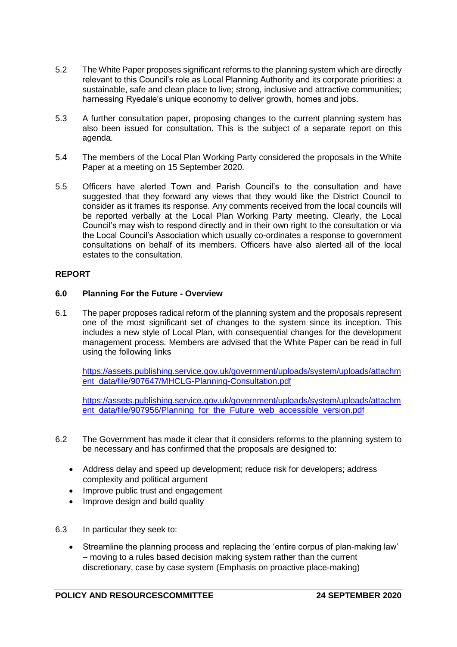- 5.2 The White Paper proposes significant reforms to the planning system which are directly relevant to this Council's role as Local Planning Authority and its corporate priorities: a sustainable, safe and clean place to live; strong, inclusive and attractive communities; harnessing Ryedale's unique economy to deliver growth, homes and jobs.
- 5.3 A further consultation paper, proposing changes to the current planning system has also been issued for consultation. This is the subject of a separate report on this agenda.
- 5.4 The members of the Local Plan Working Party considered the proposals in the White Paper at a meeting on 15 September 2020.
- 5.5 Officers have alerted Town and Parish Council's to the consultation and have suggested that they forward any views that they would like the District Council to consider as it frames its response. Any comments received from the local councils will be reported verbally at the Local Plan Working Party meeting. Clearly, the Local Council's may wish to respond directly and in their own right to the consultation or via the Local Council's Association which usually co-ordinates a response to government consultations on behalf of its members. Officers have also alerted all of the local estates to the consultation.

# **REPORT**

# **6.0 Planning For the Future - Overview**

6.1 The paper proposes radical reform of the planning system and the proposals represent one of the most significant set of changes to the system since its inception. This includes a new style of Local Plan, with consequential changes for the development management process. Members are advised that the White Paper can be read in full using the following links

[https://assets.publishing.service.gov.uk/government/uploads/system/uploads/attachm](https://assets.publishing.service.gov.uk/government/uploads/system/uploads/attachment_data/file/907647/MHCLG-Planning-Consultation.pdf) [ent\\_data/file/907647/MHCLG-Planning-Consultation.pdf](https://assets.publishing.service.gov.uk/government/uploads/system/uploads/attachment_data/file/907647/MHCLG-Planning-Consultation.pdf)

[https://assets.publishing.service.gov.uk/government/uploads/system/uploads/attachm](https://assets.publishing.service.gov.uk/government/uploads/system/uploads/attachment_data/file/907956/Planning_for_the_Future_web_accessible_version.pdf) [ent\\_data/file/907956/Planning\\_for\\_the\\_Future\\_web\\_accessible\\_version.pdf](https://assets.publishing.service.gov.uk/government/uploads/system/uploads/attachment_data/file/907956/Planning_for_the_Future_web_accessible_version.pdf)

- 6.2 The Government has made it clear that it considers reforms to the planning system to be necessary and has confirmed that the proposals are designed to:
	- Address delay and speed up development; reduce risk for developers; address complexity and political argument
	- Improve public trust and engagement
	- Improve design and build quality
- 6.3 In particular they seek to:
	- Streamline the planning process and replacing the 'entire corpus of plan-making law' – moving to a rules based decision making system rather than the current discretionary, case by case system (Emphasis on proactive place-making)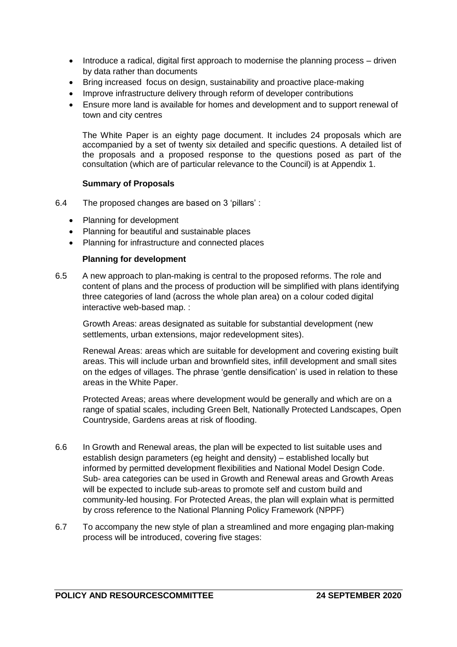- Introduce a radical, digital first approach to modernise the planning process driven by data rather than documents
- Bring increased focus on design, sustainability and proactive place-making
- Improve infrastructure delivery through reform of developer contributions
- Ensure more land is available for homes and development and to support renewal of town and city centres

The White Paper is an eighty page document. It includes 24 proposals which are accompanied by a set of twenty six detailed and specific questions. A detailed list of the proposals and a proposed response to the questions posed as part of the consultation (which are of particular relevance to the Council) is at Appendix 1.

# **Summary of Proposals**

- 6.4 The proposed changes are based on 3 'pillars' :
	- Planning for development
	- Planning for beautiful and sustainable places
	- Planning for infrastructure and connected places

### **Planning for development**

6.5 A new approach to plan-making is central to the proposed reforms. The role and content of plans and the process of production will be simplified with plans identifying three categories of land (across the whole plan area) on a colour coded digital interactive web-based map. :

Growth Areas: areas designated as suitable for substantial development (new settlements, urban extensions, major redevelopment sites).

Renewal Areas: areas which are suitable for development and covering existing built areas. This will include urban and brownfield sites, infill development and small sites on the edges of villages. The phrase 'gentle densification' is used in relation to these areas in the White Paper.

Protected Areas; areas where development would be generally and which are on a range of spatial scales, including Green Belt, Nationally Protected Landscapes, Open Countryside, Gardens areas at risk of flooding.

- 6.6 In Growth and Renewal areas, the plan will be expected to list suitable uses and establish design parameters (eg height and density) – established locally but informed by permitted development flexibilities and National Model Design Code. Sub- area categories can be used in Growth and Renewal areas and Growth Areas will be expected to include sub-areas to promote self and custom build and community-led housing. For Protected Areas, the plan will explain what is permitted by cross reference to the National Planning Policy Framework (NPPF)
- 6.7 To accompany the new style of plan a streamlined and more engaging plan-making process will be introduced, covering five stages: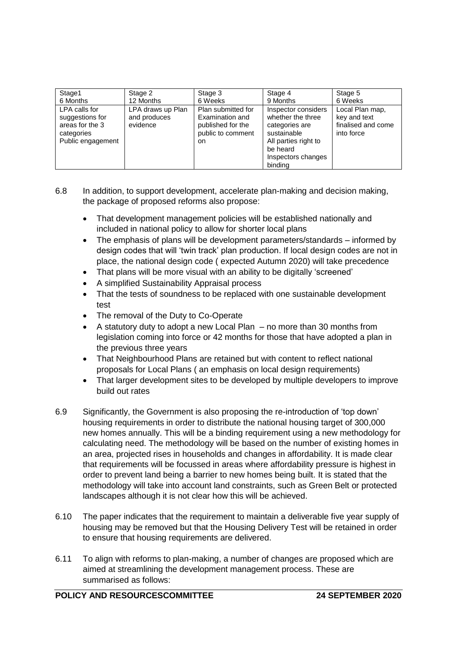| Stage1                                                                                 | Stage 2                                       | Stage 3                                                                                | Stage 4                                                                                                                                        | Stage 5                                                             |
|----------------------------------------------------------------------------------------|-----------------------------------------------|----------------------------------------------------------------------------------------|------------------------------------------------------------------------------------------------------------------------------------------------|---------------------------------------------------------------------|
| 6 Months                                                                               | 12 Months                                     | 6 Weeks                                                                                | 9 Months                                                                                                                                       | 6 Weeks                                                             |
| LPA calls for<br>suggestions for<br>areas for the 3<br>categories<br>Public engagement | LPA draws up Plan<br>and produces<br>evidence | Plan submitted for<br>Examination and<br>published for the<br>public to comment<br>on. | Inspector considers<br>whether the three<br>categories are<br>sustainable<br>All parties right to<br>be heard<br>Inspectors changes<br>bindina | Local Plan map,<br>key and text<br>finalised and come<br>into force |

- 6.8 In addition, to support development, accelerate plan-making and decision making, the package of proposed reforms also propose:
	- That development management policies will be established nationally and included in national policy to allow for shorter local plans
	- The emphasis of plans will be development parameters/standards informed by design codes that will 'twin track' plan production. If local design codes are not in place, the national design code ( expected Autumn 2020) will take precedence
	- That plans will be more visual with an ability to be digitally 'screened'
	- A simplified Sustainability Appraisal process
	- That the tests of soundness to be replaced with one sustainable development test
	- The removal of the Duty to Co-Operate
	- A statutory duty to adopt a new Local Plan no more than 30 months from legislation coming into force or 42 months for those that have adopted a plan in the previous three years
	- That Neighbourhood Plans are retained but with content to reflect national proposals for Local Plans ( an emphasis on local design requirements)
	- That larger development sites to be developed by multiple developers to improve build out rates
- 6.9 Significantly, the Government is also proposing the re-introduction of 'top down' housing requirements in order to distribute the national housing target of 300,000 new homes annually. This will be a binding requirement using a new methodology for calculating need. The methodology will be based on the number of existing homes in an area, projected rises in households and changes in affordability. It is made clear that requirements will be focussed in areas where affordability pressure is highest in order to prevent land being a barrier to new homes being built. It is stated that the methodology will take into account land constraints, such as Green Belt or protected landscapes although it is not clear how this will be achieved.
- 6.10 The paper indicates that the requirement to maintain a deliverable five year supply of housing may be removed but that the Housing Delivery Test will be retained in order to ensure that housing requirements are delivered.
- 6.11 To align with reforms to plan-making, a number of changes are proposed which are aimed at streamlining the development management process. These are summarised as follows: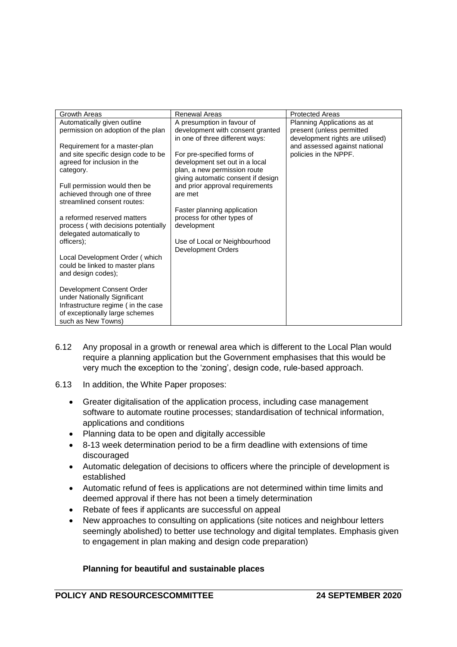| Growth Areas<br>Automatically given outline<br>permission on adoption of the plan<br>Requirement for a master-plan<br>and site specific design code to be<br>agreed for inclusion in the<br>category.<br>Full permission would then be<br>achieved through one of three<br>streamlined consent routes:<br>a reformed reserved matters<br>process (with decisions potentially<br>delegated automatically to<br>officers);<br>Local Development Order (which<br>could be linked to master plans<br>and design codes); | <b>Renewal Areas</b><br>A presumption in favour of<br>development with consent granted<br>in one of three different ways:<br>For pre-specified forms of<br>development set out in a local<br>plan, a new permission route<br>giving automatic consent if design<br>and prior approval requirements<br>are met<br>Faster planning application<br>process for other types of<br>development<br>Use of Local or Neighbourhood<br><b>Development Orders</b> | <b>Protected Areas</b><br>Planning Applications as at<br>present (unless permitted<br>development rights are utilised)<br>and assessed against national<br>policies in the NPPF. |
|---------------------------------------------------------------------------------------------------------------------------------------------------------------------------------------------------------------------------------------------------------------------------------------------------------------------------------------------------------------------------------------------------------------------------------------------------------------------------------------------------------------------|---------------------------------------------------------------------------------------------------------------------------------------------------------------------------------------------------------------------------------------------------------------------------------------------------------------------------------------------------------------------------------------------------------------------------------------------------------|----------------------------------------------------------------------------------------------------------------------------------------------------------------------------------|
| Development Consent Order<br>under Nationally Significant<br>Infrastructure regime ( in the case<br>of exceptionally large schemes<br>such as New Towns)                                                                                                                                                                                                                                                                                                                                                            |                                                                                                                                                                                                                                                                                                                                                                                                                                                         |                                                                                                                                                                                  |

- 6.12 Any proposal in a growth or renewal area which is different to the Local Plan would require a planning application but the Government emphasises that this would be very much the exception to the 'zoning', design code, rule-based approach.
- 6.13 In addition, the White Paper proposes:
	- Greater digitalisation of the application process, including case management software to automate routine processes; standardisation of technical information, applications and conditions
	- Planning data to be open and digitally accessible
	- 8-13 week determination period to be a firm deadline with extensions of time discouraged
	- Automatic delegation of decisions to officers where the principle of development is established
	- Automatic refund of fees is applications are not determined within time limits and deemed approval if there has not been a timely determination
	- Rebate of fees if applicants are successful on appeal
	- New approaches to consulting on applications (site notices and neighbour letters seemingly abolished) to better use technology and digital templates. Emphasis given to engagement in plan making and design code preparation)

# **Planning for beautiful and sustainable places**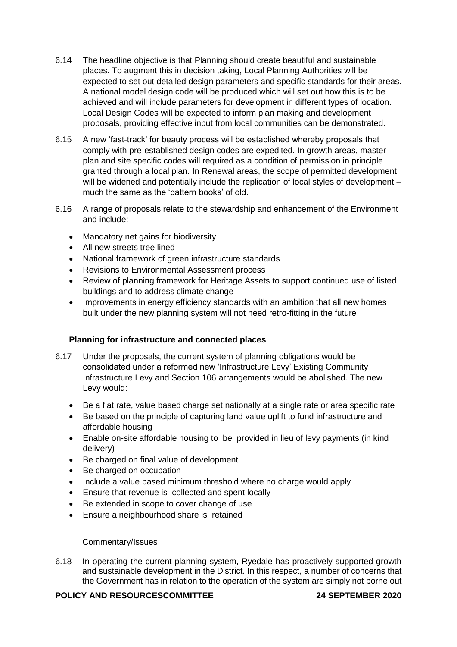- 6.14 The headline objective is that Planning should create beautiful and sustainable places. To augment this in decision taking, Local Planning Authorities will be expected to set out detailed design parameters and specific standards for their areas. A national model design code will be produced which will set out how this is to be achieved and will include parameters for development in different types of location. Local Design Codes will be expected to inform plan making and development proposals, providing effective input from local communities can be demonstrated.
- 6.15 A new 'fast-track' for beauty process will be established whereby proposals that comply with pre-established design codes are expedited. In growth areas, masterplan and site specific codes will required as a condition of permission in principle granted through a local plan. In Renewal areas, the scope of permitted development will be widened and potentially include the replication of local styles of development – much the same as the 'pattern books' of old.
- 6.16 A range of proposals relate to the stewardship and enhancement of the Environment and include:
	- Mandatory net gains for biodiversity
	- All new streets tree lined
	- National framework of green infrastructure standards
	- Revisions to Environmental Assessment process
	- Review of planning framework for Heritage Assets to support continued use of listed buildings and to address climate change
	- Improvements in energy efficiency standards with an ambition that all new homes built under the new planning system will not need retro-fitting in the future

# **Planning for infrastructure and connected places**

- 6.17 Under the proposals, the current system of planning obligations would be consolidated under a reformed new 'Infrastructure Levy' Existing Community Infrastructure Levy and Section 106 arrangements would be abolished. The new Levy would:
	- Be a flat rate, value based charge set nationally at a single rate or area specific rate
	- Be based on the principle of capturing land value uplift to fund infrastructure and affordable housing
	- Enable on-site affordable housing to be provided in lieu of levy payments (in kind delivery)
	- Be charged on final value of development
	- Be charged on occupation
	- Include a value based minimum threshold where no charge would apply
	- Ensure that revenue is collected and spent locally
	- Be extended in scope to cover change of use
	- Ensure a neighbourhood share is retained

# Commentary/Issues

6.18 In operating the current planning system, Ryedale has proactively supported growth and sustainable development in the District. In this respect, a number of concerns that the Government has in relation to the operation of the system are simply not borne out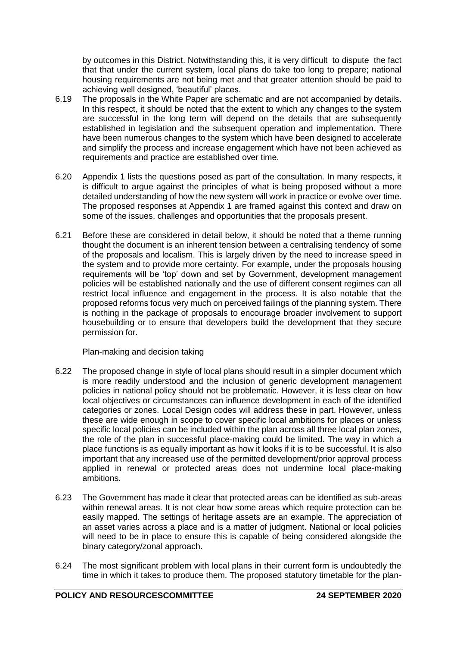by outcomes in this District. Notwithstanding this, it is very difficult to dispute the fact that that under the current system, local plans do take too long to prepare; national housing requirements are not being met and that greater attention should be paid to achieving well designed, 'beautiful' places.

- 6.19 The proposals in the White Paper are schematic and are not accompanied by details. In this respect, it should be noted that the extent to which any changes to the system are successful in the long term will depend on the details that are subsequently established in legislation and the subsequent operation and implementation. There have been numerous changes to the system which have been designed to accelerate and simplify the process and increase engagement which have not been achieved as requirements and practice are established over time.
- 6.20 Appendix 1 lists the questions posed as part of the consultation. In many respects, it is difficult to argue against the principles of what is being proposed without a more detailed understanding of how the new system will work in practice or evolve over time. The proposed responses at Appendix 1 are framed against this context and draw on some of the issues, challenges and opportunities that the proposals present.
- 6.21 Before these are considered in detail below, it should be noted that a theme running thought the document is an inherent tension between a centralising tendency of some of the proposals and localism. This is largely driven by the need to increase speed in the system and to provide more certainty. For example, under the proposals housing requirements will be 'top' down and set by Government, development management policies will be established nationally and the use of different consent regimes can all restrict local influence and engagement in the process. It is also notable that the proposed reforms focus very much on perceived failings of the planning system. There is nothing in the package of proposals to encourage broader involvement to support housebuilding or to ensure that developers build the development that they secure permission for.

Plan-making and decision taking

- 6.22 The proposed change in style of local plans should result in a simpler document which is more readily understood and the inclusion of generic development management policies in national policy should not be problematic. However, it is less clear on how local objectives or circumstances can influence development in each of the identified categories or zones. Local Design codes will address these in part. However, unless these are wide enough in scope to cover specific local ambitions for places or unless specific local policies can be included within the plan across all three local plan zones, the role of the plan in successful place-making could be limited. The way in which a place functions is as equally important as how it looks if it is to be successful. It is also important that any increased use of the permitted development/prior approval process applied in renewal or protected areas does not undermine local place-making ambitions.
- 6.23 The Government has made it clear that protected areas can be identified as sub-areas within renewal areas. It is not clear how some areas which require protection can be easily mapped. The settings of heritage assets are an example. The appreciation of an asset varies across a place and is a matter of judgment. National or local policies will need to be in place to ensure this is capable of being considered alongside the binary category/zonal approach.
- 6.24 The most significant problem with local plans in their current form is undoubtedly the time in which it takes to produce them. The proposed statutory timetable for the plan-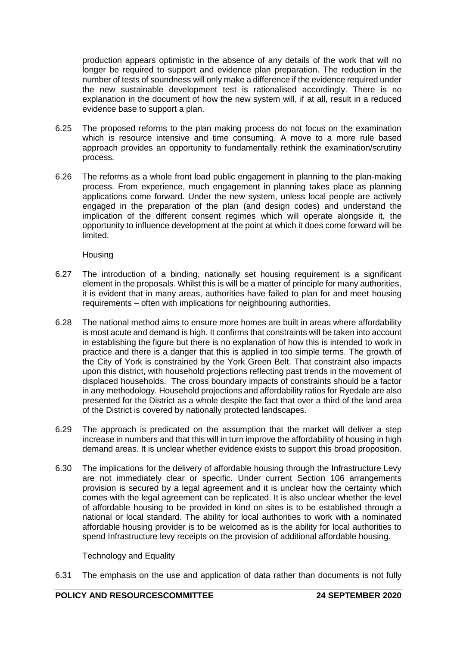production appears optimistic in the absence of any details of the work that will no longer be required to support and evidence plan preparation. The reduction in the number of tests of soundness will only make a difference if the evidence required under the new sustainable development test is rationalised accordingly. There is no explanation in the document of how the new system will, if at all, result in a reduced evidence base to support a plan.

- 6.25 The proposed reforms to the plan making process do not focus on the examination which is resource intensive and time consuming. A move to a more rule based approach provides an opportunity to fundamentally rethink the examination/scrutiny process.
- 6.26 The reforms as a whole front load public engagement in planning to the plan-making process. From experience, much engagement in planning takes place as planning applications come forward. Under the new system, unless local people are actively engaged in the preparation of the plan (and design codes) and understand the implication of the different consent regimes which will operate alongside it, the opportunity to influence development at the point at which it does come forward will be limited.

Housing

- 6.27 The introduction of a binding, nationally set housing requirement is a significant element in the proposals. Whilst this is will be a matter of principle for many authorities, it is evident that in many areas, authorities have failed to plan for and meet housing requirements – often with implications for neighbouring authorities.
- 6.28 The national method aims to ensure more homes are built in areas where affordability is most acute and demand is high. It confirms that constraints will be taken into account in establishing the figure but there is no explanation of how this is intended to work in practice and there is a danger that this is applied in too simple terms. The growth of the City of York is constrained by the York Green Belt. That constraint also impacts upon this district, with household projections reflecting past trends in the movement of displaced households. The cross boundary impacts of constraints should be a factor in any methodology. Household projections and affordability ratios for Ryedale are also presented for the District as a whole despite the fact that over a third of the land area of the District is covered by nationally protected landscapes.
- 6.29 The approach is predicated on the assumption that the market will deliver a step increase in numbers and that this will in turn improve the affordability of housing in high demand areas. It is unclear whether evidence exists to support this broad proposition.
- 6.30 The implications for the delivery of affordable housing through the Infrastructure Levy are not immediately clear or specific. Under current Section 106 arrangements provision is secured by a legal agreement and it is unclear how the certainty which comes with the legal agreement can be replicated. It is also unclear whether the level of affordable housing to be provided in kind on sites is to be established through a national or local standard. The ability for local authorities to work with a nominated affordable housing provider is to be welcomed as is the ability for local authorities to spend Infrastructure levy receipts on the provision of additional affordable housing.

Technology and Equality

6.31 The emphasis on the use and application of data rather than documents is not fully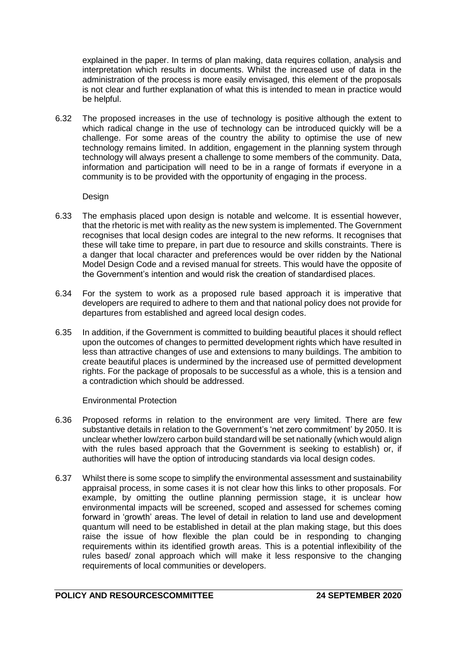explained in the paper. In terms of plan making, data requires collation, analysis and interpretation which results in documents. Whilst the increased use of data in the administration of the process is more easily envisaged, this element of the proposals is not clear and further explanation of what this is intended to mean in practice would be helpful.

6.32 The proposed increases in the use of technology is positive although the extent to which radical change in the use of technology can be introduced quickly will be a challenge. For some areas of the country the ability to optimise the use of new technology remains limited. In addition, engagement in the planning system through technology will always present a challenge to some members of the community. Data, information and participation will need to be in a range of formats if everyone in a community is to be provided with the opportunity of engaging in the process.

Design

- 6.33 The emphasis placed upon design is notable and welcome. It is essential however, that the rhetoric is met with reality as the new system is implemented. The Government recognises that local design codes are integral to the new reforms. It recognises that these will take time to prepare, in part due to resource and skills constraints. There is a danger that local character and preferences would be over ridden by the National Model Design Code and a revised manual for streets. This would have the opposite of the Government's intention and would risk the creation of standardised places.
- 6.34 For the system to work as a proposed rule based approach it is imperative that developers are required to adhere to them and that national policy does not provide for departures from established and agreed local design codes.
- 6.35 In addition, if the Government is committed to building beautiful places it should reflect upon the outcomes of changes to permitted development rights which have resulted in less than attractive changes of use and extensions to many buildings. The ambition to create beautiful places is undermined by the increased use of permitted development rights. For the package of proposals to be successful as a whole, this is a tension and a contradiction which should be addressed.

Environmental Protection

- 6.36 Proposed reforms in relation to the environment are very limited. There are few substantive details in relation to the Government's 'net zero commitment' by 2050. It is unclear whether low/zero carbon build standard will be set nationally (which would align with the rules based approach that the Government is seeking to establish) or, if authorities will have the option of introducing standards via local design codes.
- 6.37 Whilst there is some scope to simplify the environmental assessment and sustainability appraisal process, in some cases it is not clear how this links to other proposals. For example, by omitting the outline planning permission stage, it is unclear how environmental impacts will be screened, scoped and assessed for schemes coming forward in 'growth' areas. The level of detail in relation to land use and development quantum will need to be established in detail at the plan making stage, but this does raise the issue of how flexible the plan could be in responding to changing requirements within its identified growth areas. This is a potential inflexibility of the rules based/ zonal approach which will make it less responsive to the changing requirements of local communities or developers.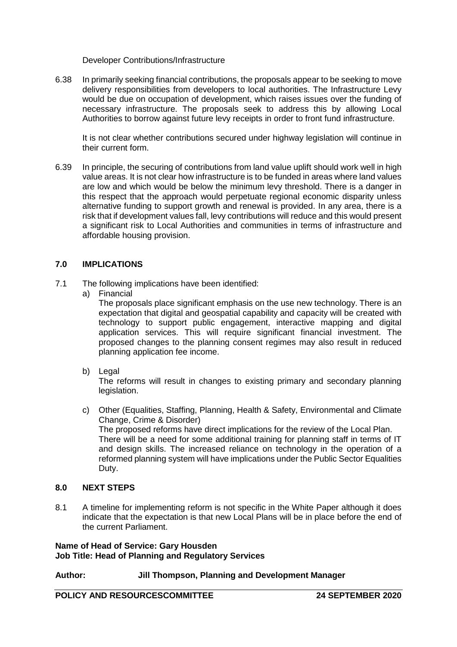Developer Contributions/Infrastructure

6.38 In primarily seeking financial contributions, the proposals appear to be seeking to move delivery responsibilities from developers to local authorities. The Infrastructure Levy would be due on occupation of development, which raises issues over the funding of necessary infrastructure. The proposals seek to address this by allowing Local Authorities to borrow against future levy receipts in order to front fund infrastructure.

It is not clear whether contributions secured under highway legislation will continue in their current form.

6.39 In principle, the securing of contributions from land value uplift should work well in high value areas. It is not clear how infrastructure is to be funded in areas where land values are low and which would be below the minimum levy threshold. There is a danger in this respect that the approach would perpetuate regional economic disparity unless alternative funding to support growth and renewal is provided. In any area, there is a risk that if development values fall, levy contributions will reduce and this would present a significant risk to Local Authorities and communities in terms of infrastructure and affordable housing provision.

# **7.0 IMPLICATIONS**

- 7.1 The following implications have been identified:
	- a) Financial

The proposals place significant emphasis on the use new technology. There is an expectation that digital and geospatial capability and capacity will be created with technology to support public engagement, interactive mapping and digital application services. This will require significant financial investment. The proposed changes to the planning consent regimes may also result in reduced planning application fee income.

b) Legal

The reforms will result in changes to existing primary and secondary planning legislation.

c) Other (Equalities, Staffing, Planning, Health & Safety, Environmental and Climate Change, Crime & Disorder) The proposed reforms have direct implications for the review of the Local Plan. There will be a need for some additional training for planning staff in terms of IT and design skills. The increased reliance on technology in the operation of a reformed planning system will have implications under the Public Sector Equalities Duty.

# **8.0 NEXT STEPS**

8.1 A timeline for implementing reform is not specific in the White Paper although it does indicate that the expectation is that new Local Plans will be in place before the end of the current Parliament.

# **Name of Head of Service: Gary Housden Job Title: Head of Planning and Regulatory Services**

# **Author: Jill Thompson, Planning and Development Manager**

**POLICY AND RESOURCESCOMMITTEE 24 SEPTEMBER 2020**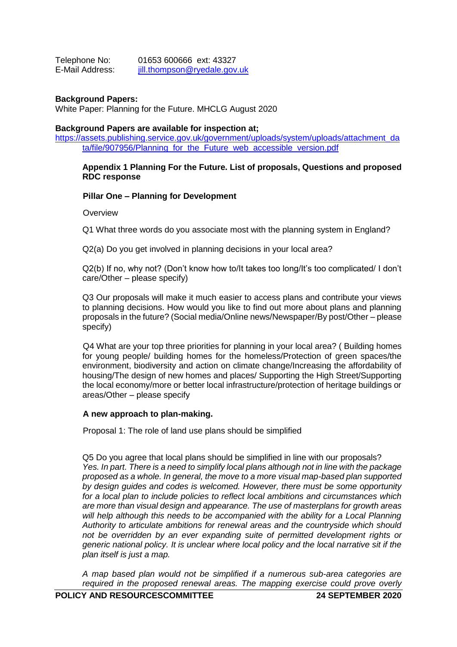| Telephone No:   | 01653 600666 ext: 43327      |
|-----------------|------------------------------|
| E-Mail Address: | jill.thompson@ryedale.gov.uk |

### **Background Papers:**

White Paper: Planning for the Future. MHCLG August 2020

#### **Background Papers are available for inspection at;**

[https://assets.publishing.service.gov.uk/government/uploads/system/uploads/attachment\\_da](https://assets.publishing.service.gov.uk/government/uploads/system/uploads/attachment_data/file/907956/Planning_for_the_Future_web_accessible_version.pdf) ta/file/907956/Planning for the Future web accessible version.pdf

### **Appendix 1 Planning For the Future. List of proposals, Questions and proposed RDC response**

#### **Pillar One – Planning for Development**

**Overview** 

Q1 What three words do you associate most with the planning system in England?

Q2(a) Do you get involved in planning decisions in your local area?

Q2(b) If no, why not? (Don't know how to/It takes too long/It's too complicated/ I don't care/Other – please specify)

Q3 Our proposals will make it much easier to access plans and contribute your views to planning decisions. How would you like to find out more about plans and planning proposals in the future? (Social media/Online news/Newspaper/By post/Other – please specify)

Q4 What are your top three priorities for planning in your local area? ( Building homes for young people/ building homes for the homeless/Protection of green spaces/the environment, biodiversity and action on climate change/Increasing the affordability of housing/The design of new homes and places/ Supporting the High Street/Supporting the local economy/more or better local infrastructure/protection of heritage buildings or areas/Other – please specify

#### **A new approach to plan-making.**

Proposal 1: The role of land use plans should be simplified

Q5 Do you agree that local plans should be simplified in line with our proposals? *Yes. In part. There is a need to simplify local plans although not in line with the package proposed as a whole. In general, the move to a more visual map-based plan supported by design guides and codes is welcomed. However, there must be some opportunity for a local plan to include policies to reflect local ambitions and circumstances which are more than visual design and appearance. The use of masterplans for growth areas*  will help although this needs to be accompanied with the ability for a Local Planning *Authority to articulate ambitions for renewal areas and the countryside which should not be overridden by an ever expanding suite of permitted development rights or generic national policy. It is unclear where local policy and the local narrative sit if the plan itself is just a map.*

*A map based plan would not be simplified if a numerous sub-area categories are required in the proposed renewal areas. The mapping exercise could prove overly*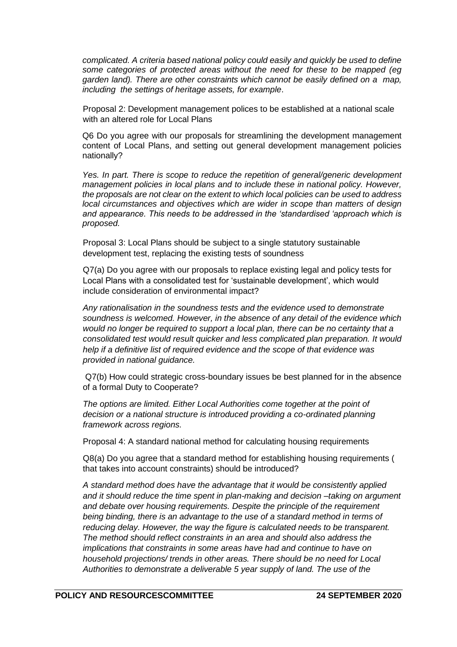*complicated. A criteria based national policy could easily and quickly be used to define some categories of protected areas without the need for these to be mapped (eg garden land). There are other constraints which cannot be easily defined on a map, including the settings of heritage assets, for example*.

Proposal 2: Development management polices to be established at a national scale with an altered role for Local Plans

Q6 Do you agree with our proposals for streamlining the development management content of Local Plans, and setting out general development management policies nationally?

*Yes. In part. There is scope to reduce the repetition of general/generic development management policies in local plans and to include these in national policy. However, the proposals are not clear on the extent to which local policies can be used to address local circumstances and objectives which are wider in scope than matters of design and appearance. This needs to be addressed in the 'standardised 'approach which is proposed.*

Proposal 3: Local Plans should be subject to a single statutory sustainable development test, replacing the existing tests of soundness

Q7(a) Do you agree with our proposals to replace existing legal and policy tests for Local Plans with a consolidated test for 'sustainable development', which would include consideration of environmental impact?

*Any rationalisation in the soundness tests and the evidence used to demonstrate soundness is welcomed. However, in the absence of any detail of the evidence which would no longer be required to support a local plan, there can be no certainty that a consolidated test would result quicker and less complicated plan preparation. It would help if a definitive list of required evidence and the scope of that evidence was provided in national guidance.*

Q7(b) How could strategic cross-boundary issues be best planned for in the absence of a formal Duty to Cooperate?

*The options are limited. Either Local Authorities come together at the point of decision or a national structure is introduced providing a co-ordinated planning framework across regions.*

Proposal 4: A standard national method for calculating housing requirements

Q8(a) Do you agree that a standard method for establishing housing requirements ( that takes into account constraints) should be introduced?

*A standard method does have the advantage that it would be consistently applied and it should reduce the time spent in plan-making and decision –taking on argument and debate over housing requirements. Despite the principle of the requirement being binding, there is an advantage to the use of a standard method in terms of reducing delay. However, the way the figure is calculated needs to be transparent. The method should reflect constraints in an area and should also address the implications that constraints in some areas have had and continue to have on household projections/ trends in other areas. There should be no need for Local Authorities to demonstrate a deliverable 5 year supply of land. The use of the*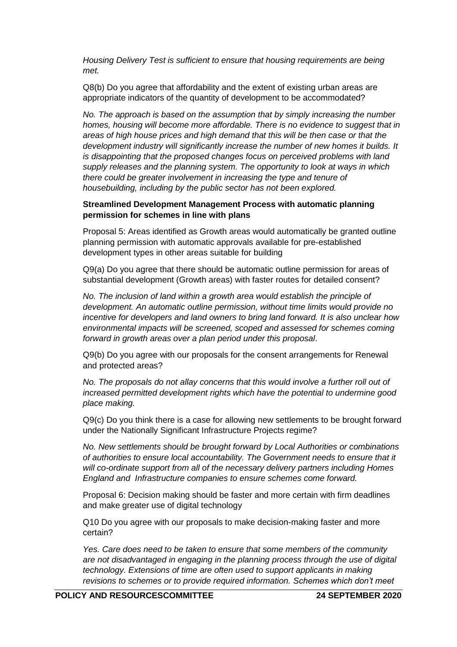*Housing Delivery Test is sufficient to ensure that housing requirements are being met.* 

Q8(b) Do you agree that affordability and the extent of existing urban areas are appropriate indicators of the quantity of development to be accommodated?

*No. The approach is based on the assumption that by simply increasing the number homes, housing will become more affordable. There is no evidence to suggest that in areas of high house prices and high demand that this will be then case or that the development industry will significantly increase the number of new homes it builds. It is disappointing that the proposed changes focus on perceived problems with land supply releases and the planning system. The opportunity to look at ways in which there could be greater involvement in increasing the type and tenure of housebuilding, including by the public sector has not been explored.*

### **Streamlined Development Management Process with automatic planning permission for schemes in line with plans**

Proposal 5: Areas identified as Growth areas would automatically be granted outline planning permission with automatic approvals available for pre-established development types in other areas suitable for building

Q9(a) Do you agree that there should be automatic outline permission for areas of substantial development (Growth areas) with faster routes for detailed consent?

*No. The inclusion of land within a growth area would establish the principle of development. An automatic outline permission, without time limits would provide no incentive for developers and land owners to bring land forward. It is also unclear how environmental impacts will be screened, scoped and assessed for schemes coming forward in growth areas over a plan period under this proposal*.

Q9(b) Do you agree with our proposals for the consent arrangements for Renewal and protected areas?

*No. The proposals do not allay concerns that this would involve a further roll out of increased permitted development rights which have the potential to undermine good place making.* 

Q9(c) Do you think there is a case for allowing new settlements to be brought forward under the Nationally Significant Infrastructure Projects regime?

*No. New settlements should be brought forward by Local Authorities or combinations of authorities to ensure local accountability. The Government needs to ensure that it will co-ordinate support from all of the necessary delivery partners including Homes England and Infrastructure companies to ensure schemes come forward.*

Proposal 6: Decision making should be faster and more certain with firm deadlines and make greater use of digital technology

Q10 Do you agree with our proposals to make decision-making faster and more certain?

*Yes. Care does need to be taken to ensure that some members of the community are not disadvantaged in engaging in the planning process through the use of digital technology. Extensions of time are often used to support applicants in making revisions to schemes or to provide required information. Schemes which don't meet*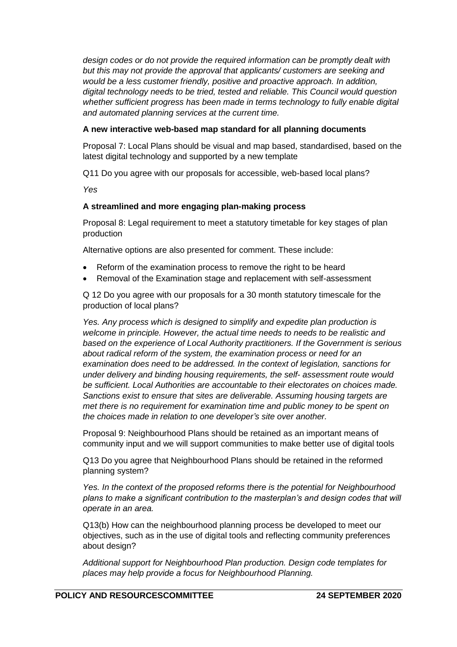*design codes or do not provide the required information can be promptly dealt with but this may not provide the approval that applicants/ customers are seeking and would be a less customer friendly, positive and proactive approach. In addition, digital technology needs to be tried, tested and reliable. This Council would question whether sufficient progress has been made in terms technology to fully enable digital and automated planning services at the current time.*

# **A new interactive web-based map standard for all planning documents**

Proposal 7: Local Plans should be visual and map based, standardised, based on the latest digital technology and supported by a new template

Q11 Do you agree with our proposals for accessible, web-based local plans?

*Yes*

# **A streamlined and more engaging plan-making process**

Proposal 8: Legal requirement to meet a statutory timetable for key stages of plan production

Alternative options are also presented for comment. These include:

- Reform of the examination process to remove the right to be heard
- Removal of the Examination stage and replacement with self-assessment

Q 12 Do you agree with our proposals for a 30 month statutory timescale for the production of local plans?

*Yes. Any process which is designed to simplify and expedite plan production is welcome in principle. However, the actual time needs to needs to be realistic and based on the experience of Local Authority practitioners. If the Government is serious about radical reform of the system, the examination process or need for an examination does need to be addressed. In the context of legislation, sanctions for under delivery and binding housing requirements, the self- assessment route would be sufficient. Local Authorities are accountable to their electorates on choices made. Sanctions exist to ensure that sites are deliverable. Assuming housing targets are met there is no requirement for examination time and public money to be spent on the choices made in relation to one developer's site over another.*

Proposal 9: Neighbourhood Plans should be retained as an important means of community input and we will support communities to make better use of digital tools

Q13 Do you agree that Neighbourhood Plans should be retained in the reformed planning system?

*Yes. In the context of the proposed reforms there is the potential for Neighbourhood plans to make a significant contribution to the masterplan's and design codes that will operate in an area.*

Q13(b) How can the neighbourhood planning process be developed to meet our objectives, such as in the use of digital tools and reflecting community preferences about design?

*Additional support for Neighbourhood Plan production. Design code templates for places may help provide a focus for Neighbourhood Planning.*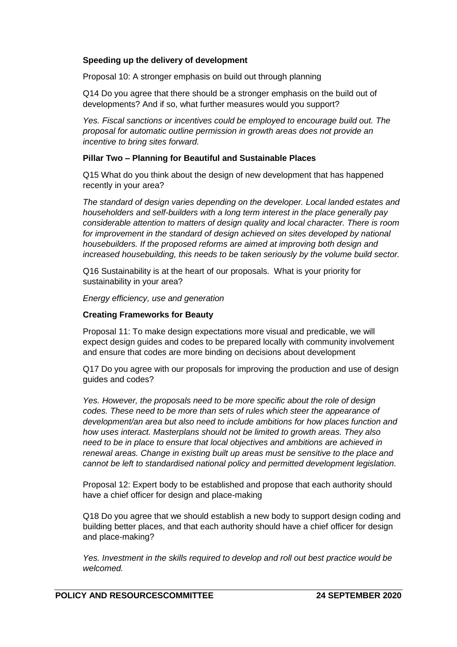# **Speeding up the delivery of development**

Proposal 10: A stronger emphasis on build out through planning

Q14 Do you agree that there should be a stronger emphasis on the build out of developments? And if so, what further measures would you support?

*Yes. Fiscal sanctions or incentives could be employed to encourage build out. The proposal for automatic outline permission in growth areas does not provide an incentive to bring sites forward.*

# **Pillar Two – Planning for Beautiful and Sustainable Places**

Q15 What do you think about the design of new development that has happened recently in your area?

*The standard of design varies depending on the developer. Local landed estates and householders and self-builders with a long term interest in the place generally pay considerable attention to matters of design quality and local character. There is room*  for improvement in the standard of design achieved on sites developed by national *housebuilders. If the proposed reforms are aimed at improving both design and increased housebuilding, this needs to be taken seriously by the volume build sector.*

Q16 Sustainability is at the heart of our proposals. What is your priority for sustainability in your area?

*Energy efficiency, use and generation*

### **Creating Frameworks for Beauty**

Proposal 11: To make design expectations more visual and predicable, we will expect design guides and codes to be prepared locally with community involvement and ensure that codes are more binding on decisions about development

Q17 Do you agree with our proposals for improving the production and use of design guides and codes?

*Yes. However, the proposals need to be more specific about the role of design codes. These need to be more than sets of rules which steer the appearance of development/an area but also need to include ambitions for how places function and how uses interact. Masterplans should not be limited to growth areas. They also need to be in place to ensure that local objectives and ambitions are achieved in renewal areas. Change in existing built up areas must be sensitive to the place and cannot be left to standardised national policy and permitted development legislation.*

Proposal 12: Expert body to be established and propose that each authority should have a chief officer for design and place-making

Q18 Do you agree that we should establish a new body to support design coding and building better places, and that each authority should have a chief officer for design and place-making?

*Yes. Investment in the skills required to develop and roll out best practice would be welcomed.*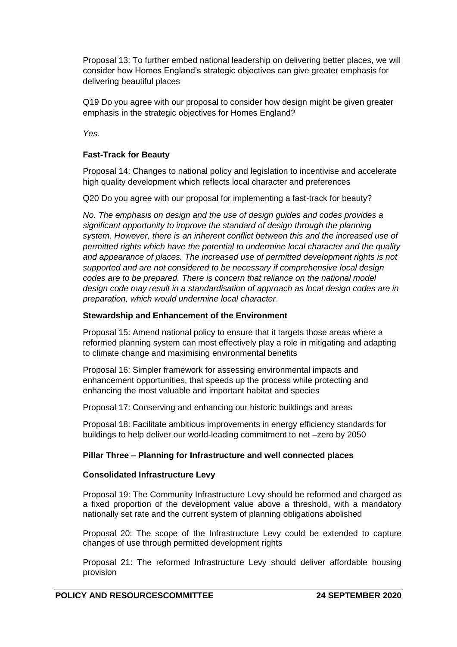Proposal 13: To further embed national leadership on delivering better places, we will consider how Homes England's strategic objectives can give greater emphasis for delivering beautiful places

Q19 Do you agree with our proposal to consider how design might be given greater emphasis in the strategic objectives for Homes England?

*Yes.* 

# **Fast-Track for Beauty**

Proposal 14: Changes to national policy and legislation to incentivise and accelerate high quality development which reflects local character and preferences

Q20 Do you agree with our proposal for implementing a fast-track for beauty?

*No. The emphasis on design and the use of design guides and codes provides a significant opportunity to improve the standard of design through the planning system. However, there is an inherent conflict between this and the increased use of permitted rights which have the potential to undermine local character and the quality and appearance of places. The increased use of permitted development rights is not supported and are not considered to be necessary if comprehensive local design codes are to be prepared. There is concern that reliance on the national model design code may result in a standardisation of approach as local design codes are in preparation, which would undermine local character*.

# **Stewardship and Enhancement of the Environment**

Proposal 15: Amend national policy to ensure that it targets those areas where a reformed planning system can most effectively play a role in mitigating and adapting to climate change and maximising environmental benefits

Proposal 16: Simpler framework for assessing environmental impacts and enhancement opportunities, that speeds up the process while protecting and enhancing the most valuable and important habitat and species

Proposal 17: Conserving and enhancing our historic buildings and areas

Proposal 18: Facilitate ambitious improvements in energy efficiency standards for buildings to help deliver our world-leading commitment to net –zero by 2050

# **Pillar Three – Planning for Infrastructure and well connected places**

# **Consolidated Infrastructure Levy**

Proposal 19: The Community Infrastructure Levy should be reformed and charged as a fixed proportion of the development value above a threshold, with a mandatory nationally set rate and the current system of planning obligations abolished

Proposal 20: The scope of the Infrastructure Levy could be extended to capture changes of use through permitted development rights

Proposal 21: The reformed Infrastructure Levy should deliver affordable housing provision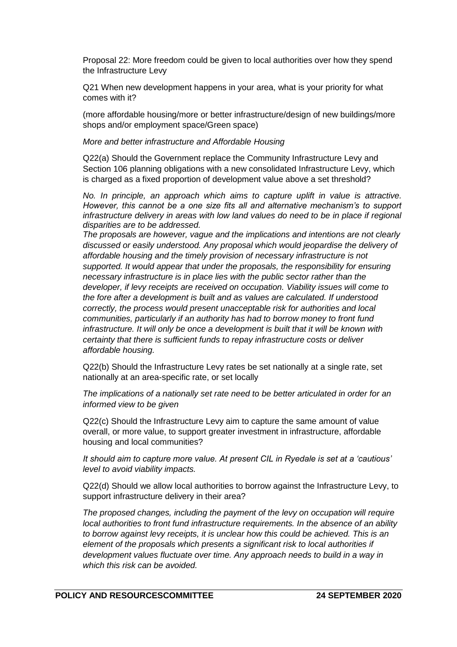Proposal 22: More freedom could be given to local authorities over how they spend the Infrastructure Levy

Q21 When new development happens in your area, what is your priority for what comes with it?

(more affordable housing/more or better infrastructure/design of new buildings/more shops and/or employment space/Green space)

#### *More and better infrastructure and Affordable Housing*

Q22(a) Should the Government replace the Community Infrastructure Levy and Section 106 planning obligations with a new consolidated Infrastructure Levy, which is charged as a fixed proportion of development value above a set threshold?

*No. In principle, an approach which aims to capture uplift in value is attractive. However, this cannot be a one size fits all and alternative mechanism's to support infrastructure delivery in areas with low land values do need to be in place if regional disparities are to be addressed.*

*The proposals are however, vague and the implications and intentions are not clearly discussed or easily understood. Any proposal which would jeopardise the delivery of affordable housing and the timely provision of necessary infrastructure is not supported. It would appear that under the proposals, the responsibility for ensuring necessary infrastructure is in place lies with the public sector rather than the developer, if levy receipts are received on occupation. Viability issues will come to the fore after a development is built and as values are calculated. If understood correctly, the process would present unacceptable risk for authorities and local communities, particularly if an authority has had to borrow money to front fund infrastructure. It will only be once a development is built that it will be known with certainty that there is sufficient funds to repay infrastructure costs or deliver affordable housing.* 

Q22(b) Should the Infrastructure Levy rates be set nationally at a single rate, set nationally at an area-specific rate, or set locally

*The implications of a nationally set rate need to be better articulated in order for an informed view to be given*

Q22(c) Should the Infrastructure Levy aim to capture the same amount of value overall, or more value, to support greater investment in infrastructure, affordable housing and local communities?

*It should aim to capture more value. At present CIL in Ryedale is set at a 'cautious' level to avoid viability impacts.*

Q22(d) Should we allow local authorities to borrow against the Infrastructure Levy, to support infrastructure delivery in their area?

*The proposed changes, including the payment of the levy on occupation will require local authorities to front fund infrastructure requirements. In the absence of an ability to borrow against levy receipts, it is unclear how this could be achieved. This is an element of the proposals which presents a significant risk to local authorities if development values fluctuate over time. Any approach needs to build in a way in which this risk can be avoided.*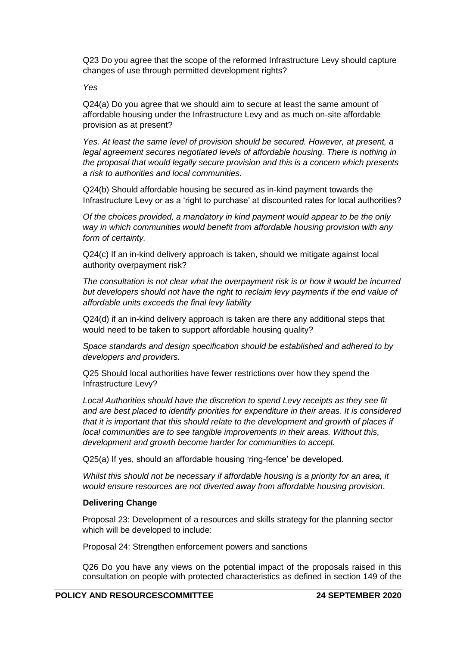Q23 Do you agree that the scope of the reformed Infrastructure Levy should capture changes of use through permitted development rights?

#### *Yes*

Q24(a) Do you agree that we should aim to secure at least the same amount of affordable housing under the Infrastructure Levy and as much on-site affordable provision as at present?

*Yes. At least the same level of provision should be secured. However, at present, a*  legal agreement secures negotiated levels of affordable housing. There is nothing in *the proposal that would legally secure provision and this is a concern which presents a risk to authorities and local communities.* 

Q24(b) Should affordable housing be secured as in-kind payment towards the Infrastructure Levy or as a 'right to purchase' at discounted rates for local authorities?

*Of the choices provided, a mandatory in kind payment would appear to be the only way in which communities would benefit from affordable housing provision with any form of certainty.*

Q24(c) If an in-kind delivery approach is taken, should we mitigate against local authority overpayment risk?

*The consultation is not clear what the overpayment risk is or how it would be incurred* but developers should not have the right to reclaim levy payments if the end value of *affordable units exceeds the final levy liability*

Q24(d) if an in-kind delivery approach is taken are there any additional steps that would need to be taken to support affordable housing quality?

*Space standards and design specification should be established and adhered to by developers and providers.*

Q25 Should local authorities have fewer restrictions over how they spend the Infrastructure Levy?

*Local Authorities should have the discretion to spend Levy receipts as they see fit and are best placed to identify priorities for expenditure in their areas. It is considered that it is important that this should relate to the development and growth of places if local communities are to see tangible improvements in their areas. Without this, development and growth become harder for communities to accept.*

Q25(a) If yes, should an affordable housing 'ring-fence' be developed.

*Whilst this should not be necessary if affordable housing is a priority for an area, it would ensure resources are not diverted away from affordable housing provision*.

#### **Delivering Change**

Proposal 23: Development of a resources and skills strategy for the planning sector which will be developed to include:

Proposal 24: Strengthen enforcement powers and sanctions

Q26 Do you have any views on the potential impact of the proposals raised in this consultation on people with protected characteristics as defined in section 149 of the